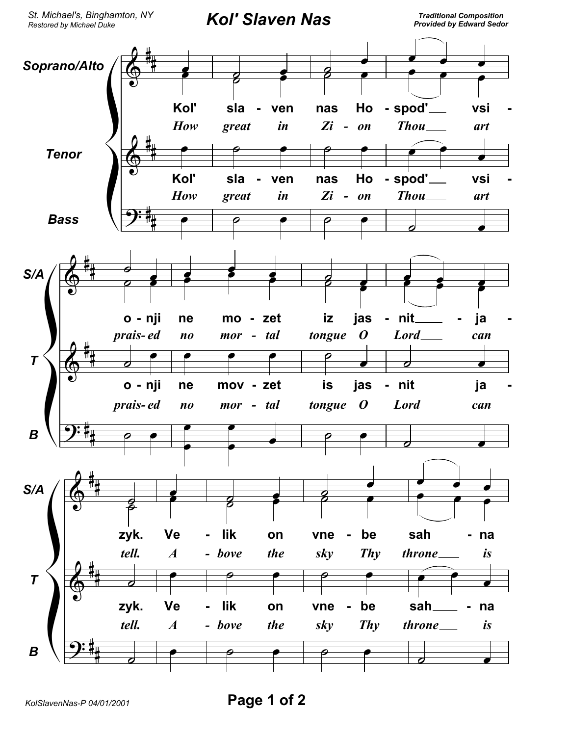St. Michael's, Binghamton, NY Restored by Michael Duke

**Kol' Slaven Nas** 

**Traditional Composition Provided by Edward Sedor**